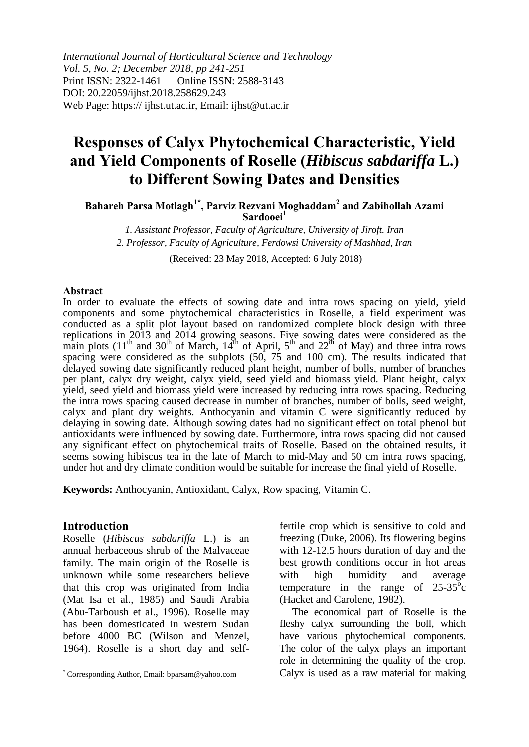*International Journal of Horticultural Science and Technology Vol. 5, No. 2; December 2018, pp 241-251* Print ISSN: 2322-1461 Online ISSN: 2588-3143 DOI: 20.22059/ijhst.2018.258629.243 Web Page: https:// ijhst.ut.ac.ir, Email: ijhst@ut.ac.ir

# **Responses of Calyx Phytochemical Characteristic, Yield and Yield Components of Roselle (***Hibiscus sabdariffa* **L.) to Different Sowing Dates and Densities**

**Bahareh Parsa Motlagh1\* , Parviz Rezvani Moghaddam<sup>2</sup> and Zabihollah Azami Sardooei<sup>1</sup>**

*1. Assistant Professor, Faculty of Agriculture, University of Jiroft. Iran 2. Professor, Faculty of Agriculture, Ferdowsi University of Mashhad, Iran*

(Received: 23 May 2018, Accepted: 6 July 2018)

#### **Abstract**

In order to evaluate the effects of sowing date and intra rows spacing on yield, yield components and some phytochemical characteristics in Roselle, a field experiment was conducted as a split plot layout based on randomized complete block design with three replications in 2013 and 2014 growing seasons. Five sowing dates were considered as the main plots (11<sup>th</sup> and 30<sup>th</sup> of March, 14<sup>th</sup> of April, 5<sup>th</sup> and 22<sup>th</sup> of May) and three intra rows spacing were considered as the subplots  $(50, 75, 25, 100)$  cm). The results indicated that delayed sowing date significantly reduced plant height, number of bolls, number of branches per plant, calyx dry weight, calyx yield, seed yield and biomass yield. Plant height, calyx yield, seed yield and biomass yield were increased by reducing intra rows spacing. Reducing the intra rows spacing caused decrease in number of branches, number of bolls, seed weight, calyx and plant dry weights. Anthocyanin and vitamin C were significantly reduced by delaying in sowing date. Although sowing dates had no significant effect on total phenol but antioxidants were influenced by sowing date. Furthermore, intra rows spacing did not caused any significant effect on phytochemical traits of Roselle. Based on the obtained results, it seems sowing hibiscus tea in the late of March to mid-May and 50 cm intra rows spacing, under hot and dry climate condition would be suitable for increase the final yield of Roselle.

**Keywords:** Anthocyanin, Antioxidant, Calyx, Row spacing, Vitamin C.

#### **Introduction**

l

Roselle (*Hibiscus sabdariffa* L.) is an annual herbaceous shrub of the Malvaceae family. The main origin of the Roselle is unknown while some researchers believe that this crop was originated from India (Mat Isa et al., 1985) and Saudi Arabia (Abu-Tarboush et al., 1996). Roselle may has been domesticated in western Sudan before 4000 BC (Wilson and Menzel, 1964). Roselle is a short day and selffertile crop which is sensitive to cold and freezing (Duke, 2006). Its flowering begins with 12-12.5 hours duration of day and the best growth conditions occur in hot areas with high humidity and average temperature in the range of  $25-35^\circ$ c (Hacket and Carolene, 1982).

The economical part of Roselle is the fleshy calyx surrounding the boll, which have various phytochemical components. The color of the calyx plays an important role in determining the quality of the crop. Calyx is used as a raw material for making

<sup>\*</sup> Corresponding Author, Email: bparsam@yahoo.com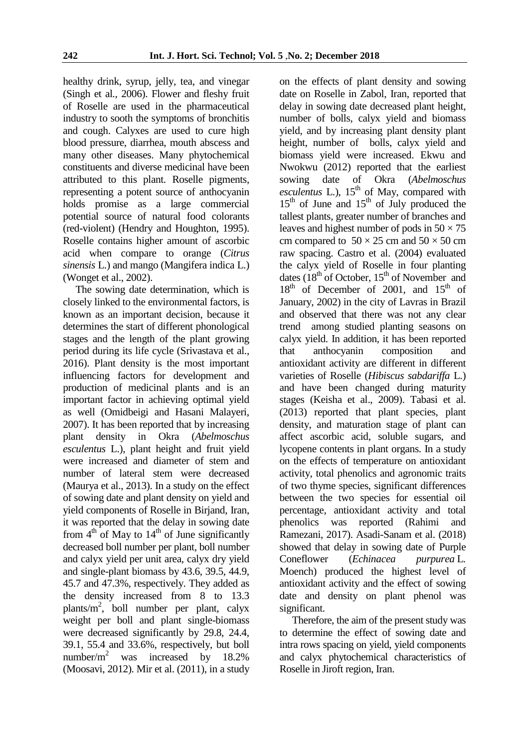healthy drink, syrup, jelly, tea, and vinegar (Singh et al*.,* 2006). Flower and fleshy fruit of Roselle are used in the pharmaceutical industry to sooth the symptoms of bronchitis and cough. Calyxes are used to cure high blood pressure, diarrhea, mouth abscess and many other diseases. Many phytochemical constituents and diverse medicinal have been attributed to this plant. Roselle pigments, representing a potent source of anthocyanin holds promise as a large commercial potential source of natural food colorants (red-violent) (Hendry and Houghton, 1995). Roselle contains higher amount of ascorbic acid when compare to orange (*Citrus sinensis* L.) and mango (Mangifera indica L.) (Wonget et al., 2002).

The sowing date determination, which is closely linked to the environmental factors, is known as an important decision, because it determines the start of different phonological stages and the length of the plant growing period during its life cycle (Srivastava et al., 2016). Plant density is the most important influencing factors for development and production of medicinal plants and is an important factor in achieving optimal yield as well (Omidbeigi and Hasani Malayeri, 2007). It has been reported that by increasing plant density in Okra (*Abelmoschus esculentus* L.), plant height and fruit yield were increased and diameter of stem and number of lateral stem were decreased (Maurya et al., 2013). In a study on the effect of sowing date and plant density on yield and yield components of Roselle in Birjand, Iran, it was reported that the delay in sowing date from  $4<sup>th</sup>$  of May to  $14<sup>th</sup>$  of June significantly decreased boll number per plant, boll number and calyx yield per unit area, calyx dry yield and single-plant biomass by 43.6, 39.5, 44.9, 45.7 and 47.3%, respectively. They added as the density increased from 8 to 13.3 plants/m<sup>2</sup> , boll number per plant, calyx weight per boll and plant single-biomass were decreased significantly by 29.8, 24.4, 39.1, 55.4 and 33.6%, respectively, but boll number/m<sup>2</sup> was increased by 18.2% (Moosavi, 2012). Mir et al. (2011), in a study

on the effects of plant density and sowing date on Roselle in Zabol, Iran, reported that delay in sowing date decreased plant height, number of bolls, calyx yield and biomass yield, and by increasing plant density plant height, number of bolls, calyx yield and biomass yield were increased. Ekwu and Nwokwu (2012) reported that the earliest sowing date of Okra (*Abelmoschus*   $\check{e}$ *esculentus* L.),  $15<sup>th</sup>$  of May, compared with  $15<sup>th</sup>$  of June and  $15<sup>th</sup>$  of July produced the tallest plants, greater number of branches and leaves and highest number of pods in  $50 \times 75$ cm compared to  $50 \times 25$  cm and  $50 \times 50$  cm raw spacing. Castro et al. (2004) evaluated the calyx yield of Roselle in four planting dates  $(18<sup>th</sup>$  of October,  $15<sup>th</sup>$  of November and  $18<sup>th</sup>$  of December of 2001, and  $15<sup>th</sup>$  of January, 2002) in the city of Lavras in Brazil and observed that there was not any clear trend among studied planting seasons on calyx yield. In addition, it has been reported that anthocyanin composition and antioxidant activity are different in different varieties of Roselle (*Hibiscus sabdariffa* L.) and have been changed during maturity stages (Keisha et al., 2009). Tabasi et al. (2013) reported that plant species, plant density, and maturation stage of plant can affect ascorbic acid, soluble sugars, and lycopene contents in plant organs. In a study on the effects of temperature on antioxidant activity, total phenolics and agronomic traits of two thyme species, significant differences between the two species for essential oil percentage, antioxidant activity and total phenolics was reported (Rahimi and Ramezani, 2017). Asadi-Sanam et al. (2018) showed that delay in sowing date of Purple Coneflower (*Echinacea purpurea* L*.*  Moench) produced the highest level of antioxidant activity and the effect of sowing date and density on plant phenol was significant.

Therefore, the aim of the present study was to determine the effect of sowing date and intra rows spacing on yield, yield components and calyx phytochemical characteristics of Roselle in Jiroft region, Iran.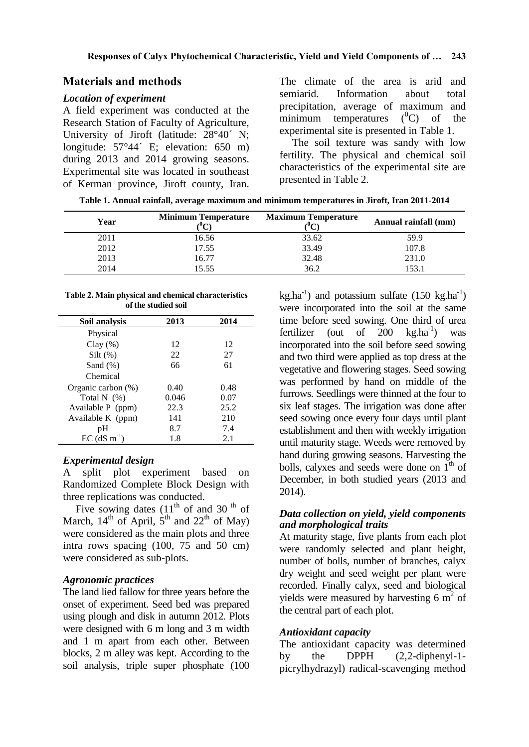## **Materials and methods**

#### *Location of experiment*

A field experiment was conducted at the Research Station of Faculty of Agriculture, University of Jiroft (latitude: 28°40´ N; longitude: 57°44´ E; elevation: 650 m) during 2013 and 2014 growing seasons. Experimental site was located in southeast of Kerman province, Jiroft county, Iran. The climate of the area is arid and semiarid. Information about total precipitation, average of maximum and minimum temperatures  $(^0C)$  of the experimental site is presented in Table 1.

The soil texture was sandy with low fertility. The physical and chemical soil characteristics of the experimental site are presented in Table 2.

**Table 1. Annual rainfall, average maximum and minimum temperatures in Jiroft, Iran 2011-2014**

| Year | <b>Minimum Temperature</b> | <b>Maximum Temperature</b> | Annual rainfall (mm) |
|------|----------------------------|----------------------------|----------------------|
| 2011 | 16.56                      | 33.62                      | 59.9                 |
| 2012 | 17.55                      | 33.49                      | 107.8                |
| 2013 | 16.77                      | 32.48                      | 231.0                |
| 2014 | 5.55                       | 36.2                       | 153.1                |

#### **Table 2. Main physical and chemical characteristics of the studied soil**

| Soil analysis              | 2013  | 2014 |
|----------------------------|-------|------|
| Physical                   |       |      |
| $Clay(\%)$                 | 12    | 12   |
| $Silt$ (%)                 | 22    | 27   |
| Sand $(\%)$                | 66    | 61   |
| Chemical                   |       |      |
| Organic carbon (%)         | 0.40  | 0.48 |
| Total $N$ $(\%)$           | 0.046 | 0.07 |
| Available P (ppm)          | 22.3  | 25.2 |
| Available K (ppm)          | 141   | 210  |
| pH                         | 8.7   | 7.4  |
| $EC$ (dS m <sup>-1</sup> ) | 1.8   | 2.1  |

## *Experimental design*

A split plot experiment based on Randomized Complete Block Design with three replications was conducted.

Five sowing dates  $(11<sup>th</sup>$  of and 30<sup>th</sup> of March,  $14^{th}$  of April,  $5^{th}$  and  $22^{th}$  of May) were considered as the main plots and three intra rows spacing (100, 75 and 50 cm) were considered as sub-plots.

## *Agronomic practices*

The land lied fallow for three years before the onset of experiment. Seed bed was prepared using plough and disk in autumn 2012. Plots were designed with 6 m long and 3 m width and 1 m apart from each other. Between blocks, 2 m alley was kept. According to the soil analysis, triple super phosphate (100

 $kg.ha^{-1}$ ) and potassium sulfate (150 kg.ha<sup>-1</sup>) were incorporated into the soil at the same time before seed sowing. One third of urea fertilizer (out of  $200 \text{ kg.ha}^{-1}$ ) ) was incorporated into the soil before seed sowing and two third were applied as top dress at the vegetative and flowering stages. Seed sowing was performed by hand on middle of the furrows. Seedlings were thinned at the four to six leaf stages. The irrigation was done after seed sowing once every four days until plant establishment and then with weekly irrigation until maturity stage. Weeds were removed by hand during growing seasons. Harvesting the bolls, calyxes and seeds were done on  $1<sup>th</sup>$  of December, in both studied years (2013 and 2014).

## *Data collection on yield, yield components and morphological traits*

At maturity stage, five plants from each plot were randomly selected and plant height, number of bolls, number of branches, calyx dry weight and seed weight per plant were recorded. Finally calyx, seed and biological yields were measured by harvesting  $6 \text{ m}^2$  of the central part of each plot.

# *Antioxidant capacity*

The antioxidant capacity was determined by the DPPH (2,2-diphenyl-1 picrylhydrazyl) radical-scavenging method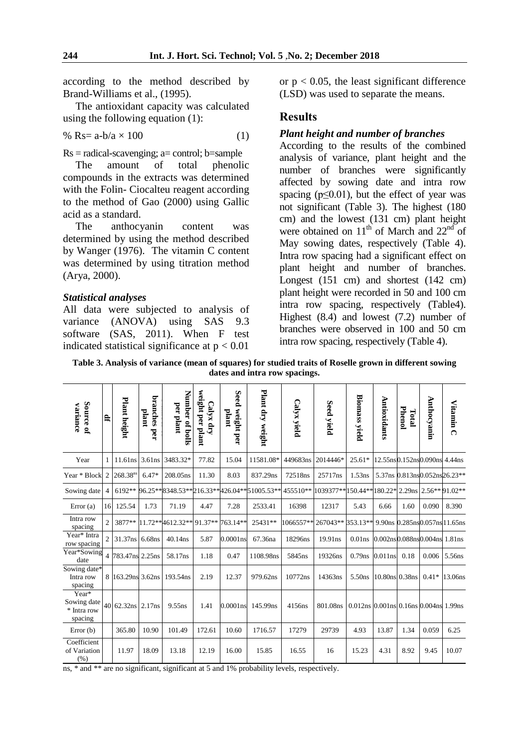according to the method described by Brand-Williams et al., (1995).

The antioxidant capacity was calculated using the following equation (1):

$$
\% \ \text{Rs} = \text{a-b/a} \times 100 \tag{1}
$$

 $Rs = radical$ -scavenging;  $a=$  control;  $b=$ sample

The amount of total phenolic compounds in the extracts was determined with the Folin- Ciocalteu reagent according to the method of Gao (2000) using Gallic acid as a standard.

The anthocyanin content was determined by using the method described by Wanger (1976). The vitamin C content was determined by using titration method (Arya, 2000).

#### *Statistical analyses*

All data were subjected to analysis of variance (ANOVA) using SAS 9.3 software (SAS, 2011). When F test indicated statistical significance at  $p < 0.01$ 

or  $p < 0.05$ , the least significant difference (LSD) was used to separate the means.

## **Results**

#### *Plant height and number of branches*

According to the results of the combined analysis of variance, plant height and the number of branches were significantly affected by sowing date and intra row spacing ( $p \leq 0.01$ ), but the effect of year was not significant (Table 3). The highest (180 cm) and the lowest (131 cm) plant height were obtained on  $11<sup>th</sup>$  of March and  $22<sup>nd</sup>$  of May sowing dates, respectively (Table 4). Intra row spacing had a significant effect on plant height and number of branches. Longest (151 cm) and shortest (142 cm) plant height were recorded in 50 and 100 cm intra row spacing, respectively (Table4). Highest (8.4) and lowest (7.2) number of branches were observed in 100 and 50 cm intra row spacing, respectively (Table 4).

**Table 3. Analysis of variance (mean of squares) for studied traits of Roselle grown in different sowing dates and intra row spacings.**

| Source of<br>variance                          | E,             | Plant height         | branches<br>plant<br>ber | Number of bolls<br>per plant             | weight per plant<br>Calyx dry | Seed weight per<br>plant | Plant dry weight                                    | Calyx yield | Seed yield                                                | <b>Biomass yield</b>                                 | Antioxidants                 | Phenol<br>Total | <b>Anthocyanin</b>             | <b>Vitamin</b><br>$\Omega$ |
|------------------------------------------------|----------------|----------------------|--------------------------|------------------------------------------|-------------------------------|--------------------------|-----------------------------------------------------|-------------|-----------------------------------------------------------|------------------------------------------------------|------------------------------|-----------------|--------------------------------|----------------------------|
| Year                                           | 1              | $11.61$ ns $3.61$ ns |                          | 3483.32*                                 | 77.82                         | 15.04                    | 11581.08*                                           | 449683ns    | 2014446*                                                  | $25.61*$                                             |                              |                 | 12.55ns0.152ns0.090ns 4.44ns   |                            |
| Year * Block 2 268.38 <sup>ns</sup>            |                |                      | $6.47*$                  | 208.05ns                                 | 11.30                         | 8.03                     | 837.29ns                                            | 72518ns     | 25717ns                                                   | 1.53ns                                               |                              |                 | 5.37ns 0.813ns 0.052ns 26.23** |                            |
| Sowing date                                    |                |                      |                          |                                          |                               |                          | 4 6192** 96.25**8348.53**216.33**426.04**51005.53** |             | 455510** 1039377** 150.44** 180.22* 2.29ns 2.56** 91.02** |                                                      |                              |                 |                                |                            |
| Error(a)                                       |                | 16 125.54            | 1.73                     | 71.19                                    | 4.47                          | 7.28                     | 2533.41                                             | 16398       | 12317                                                     | 5.43                                                 | 6.66                         | 1.60            | 0.090                          | 8.390                      |
| Intra row<br>spacing                           | $\overline{2}$ |                      |                          | 3877** 11.72**4612.32** 91.37** 763.14** |                               |                          | 25431**                                             |             |                                                           |                                                      |                              |                 |                                |                            |
| Year* Intra<br>row spacing                     | $\overline{2}$ | 31.37ns 6.68ns       |                          | 40.14ns                                  | 5.87                          | $0.0001$ ns              | 67.36na                                             | 18296ns     | 19.91ns                                                   | $0.01$ ns                                            | 0.002ns0.088ns0.004ns 1.81ns |                 |                                |                            |
| Year*Sowing<br>date                            |                | 4 783.47ns 2.25ns    |                          | 58.17ns                                  | 1.18                          | 0.47                     | 1108.98ns                                           | 5845ns      | 19326ns                                                   | $0.79$ ns                                            | 0.011ns                      | 0.18            | 0.006                          | 5.56ns                     |
| Sowing date*<br>Intra row<br>spacing           |                | 8 163.29ns 3.62ns    |                          | 193.54ns                                 | 2.19                          | 12.37                    | 979.62ns                                            | 10772ns     | 14363ns                                                   | 5.50 <sub>ns</sub>                                   | 10.80ns 0.38ns               |                 | $0.41*$                        | 13.06ns                    |
| Year*<br>Sowing date<br>* Intra row<br>spacing |                | 40 62.32ns 2.17ns    |                          | 9.55 <sub>ns</sub>                       | 1.41                          | $0.0001$ ns              | 145.99ns                                            | 4156ns      | 801.08ns                                                  | $0.012$ ns $0.001$ ns $0.16$ ns $0.004$ ns $1.99$ ns |                              |                 |                                |                            |
| Error $(b)$                                    |                | 365.80               | 10.90                    | 101.49                                   | 172.61                        | 10.60                    | 1716.57                                             | 17279       | 29739                                                     | 4.93                                                 | 13.87                        | 1.34            | 0.059                          | 6.25                       |
| Coefficient<br>of Variation<br>(% )            |                | 11.97                | 18.09                    | 13.18                                    | 12.19                         | 16.00                    | 15.85                                               | 16.55       | 16                                                        | 15.23                                                | 4.31                         | 8.92            | 9.45                           | 10.07                      |

ns, \* and \*\* are no significant, significant at 5 and 1% probability levels, respectively.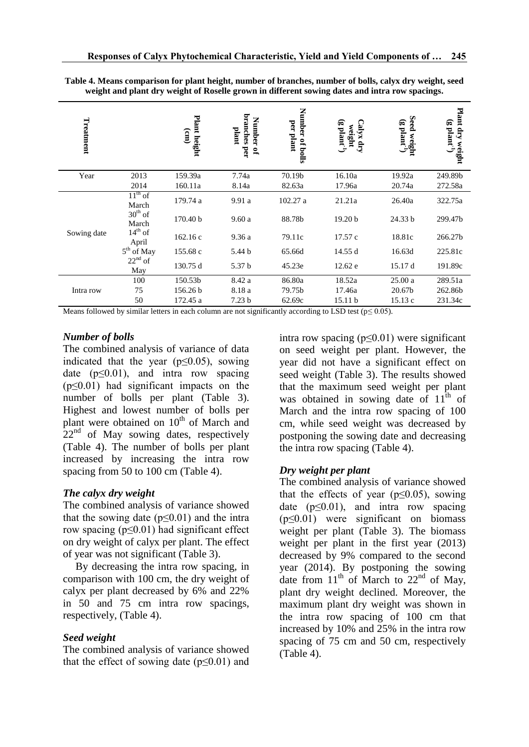| Treatment   |                        | Plant height<br>(mn) | branches<br>Number<br>plant<br>per<br>$\mathbf{S}$ | Number of bolls<br>per plant | $(g$ plant <sup>-1</sup><br>Calyx dry<br>weight | <b>Seed</b><br>bed weight $\frac{1}{2}$ | Plant dry<br>$(g$ plant <sup>-1</sup> )<br>weight |
|-------------|------------------------|----------------------|----------------------------------------------------|------------------------------|-------------------------------------------------|-----------------------------------------|---------------------------------------------------|
| Year        | 2013                   | 159.39a              | 7.74a                                              | 70.19b                       | 16.10a                                          | 19.92a                                  | 249.89b                                           |
|             | 2014                   | 160.11a              | 8.14a                                              | 82.63a                       | 17.96a                                          | 20.74a                                  | 272.58a                                           |
|             | $11th$ of<br>March     | 179.74 a             | 9.91a                                              | 102.27 a                     | 21.21a                                          | 26.40a                                  | 322.75a                                           |
|             | $30th$ of<br>March     | 170.40 <sub>b</sub>  | 9.60a                                              | 88.78b                       | 19.20 b                                         | 24.33 b                                 | 299.47b                                           |
| Sowing date | $14^{th}$ of<br>April  | 162.16c              | 9.36a                                              | 79.11c                       | 17.57 c                                         | 18.81c                                  | 266.27b                                           |
|             | 5 <sup>th</sup> of May | 155.68 c             | 5.44 b                                             | 65.66d                       | 14.55 d                                         | 16.63d                                  | 225.81c                                           |
|             | $22nd$ of<br>May       | 130.75 d             | 5.37 b                                             | 45.23e                       | 12.62 e                                         | 15.17 d                                 | 191.89c                                           |
| Intra row   | 100                    | 150.53b              | 8.42 a                                             | 86.80a                       | 18.52a                                          | 25.00a                                  | 289.51a                                           |
|             | 75                     | 156.26 b             | 8.18 a                                             | 79.75b                       | 17.46a                                          | 20.67b                                  | 262.86b                                           |
|             | 50                     | 172.45 a             | 7.23 <sub>b</sub>                                  | 62.69c                       | 15.11 <sub>b</sub>                              | 15.13c                                  | 231.34c                                           |

**Table 4. Means comparison for plant height, number of branches, number of bolls, calyx dry weight, seed weight and plant dry weight of Roselle grown in different sowing dates and intra row spacings.**

Means followed by similar letters in each column are not significantly according to LSD test ( $p \le 0.05$ ).

#### *Number of bolls*

The combined analysis of variance of data indicated that the year ( $p \le 0.05$ ), sowing date ( $p \le 0.01$ ), and intra row spacing (p≤0.01) had significant impacts on the number of bolls per plant (Table 3). Highest and lowest number of bolls per plant were obtained on  $10<sup>th</sup>$  of March and  $22<sup>nd</sup>$  of May sowing dates, respectively (Table 4). The number of bolls per plant increased by increasing the intra row spacing from 50 to 100 cm (Table 4).

## *The calyx dry weight*

The combined analysis of variance showed that the sowing date ( $p \le 0.01$ ) and the intra row spacing ( $p \le 0.01$ ) had significant effect on dry weight of calyx per plant. The effect of year was not significant (Table 3).

By decreasing the intra row spacing, in comparison with 100 cm, the dry weight of calyx per plant decreased by 6% and 22% in 50 and 75 cm intra row spacings, respectively, (Table 4).

## *Seed weight*

The combined analysis of variance showed that the effect of sowing date  $(p<0.01)$  and intra row spacing (p≤0.01) were significant on seed weight per plant. However, the year did not have a significant effect on seed weight (Table 3). The results showed that the maximum seed weight per plant was obtained in sowing date of  $11^{\text{th}}$  of March and the intra row spacing of 100 cm, while seed weight was decreased by postponing the sowing date and decreasing the intra row spacing (Table 4).

## *Dry weight per plant*

The combined analysis of variance showed that the effects of year ( $p \le 0.05$ ), sowing date  $(p \le 0.01)$ , and intra row spacing  $(p \le 0.01)$  were significant on biomass weight per plant (Table 3). The biomass weight per plant in the first year (2013) decreased by 9% compared to the second year (2014). By postponing the sowing date from  $11<sup>th</sup>$  of March to  $22<sup>nd</sup>$  of May, plant dry weight declined. Moreover, the maximum plant dry weight was shown in the intra row spacing of 100 cm that increased by 10% and 25% in the intra row spacing of 75 cm and 50 cm, respectively (Table 4).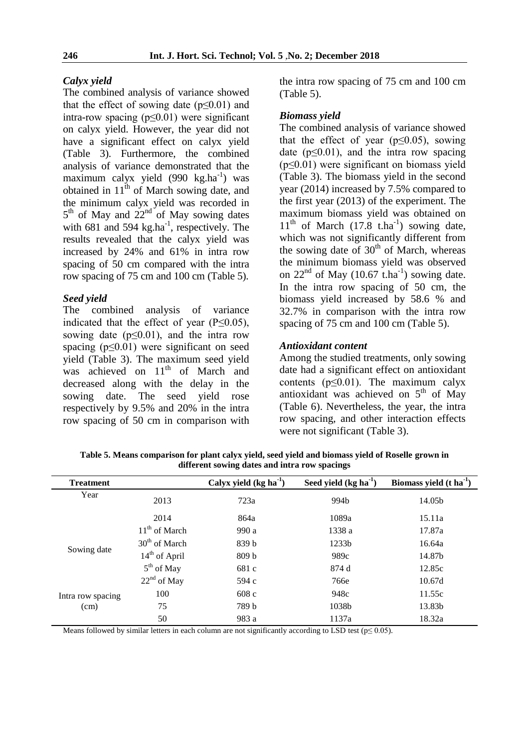#### *Calyx yield*

The combined analysis of variance showed that the effect of sowing date  $(p<0.01)$  and intra-row spacing (p≤0.01) were significant on calyx yield. However, the year did not have a significant effect on calyx yield (Table 3). Furthermore, the combined analysis of variance demonstrated that the  $maximum$  calyx yield (990 kg.ha<sup>-1</sup>) was obtained in  $11<sup>th</sup>$  of March sowing date, and the minimum calyx yield was recorded in  $5<sup>th</sup>$  of May and  $22<sup>nd</sup>$  of May sowing dates with  $681$  and  $594$  kg.ha<sup>-1</sup>, respectively. The results revealed that the calyx yield was increased by 24% and 61% in intra row spacing of 50 cm compared with the intra row spacing of 75 cm and 100 cm (Table 5).

#### *Seed yield*

The combined analysis of variance indicated that the effect of year  $(P \le 0.05)$ , sowing date ( $p \le 0.01$ ), and the intra row spacing ( $p \leq 0.01$ ) were significant on seed yield (Table 3). The maximum seed yield was achieved on  $11<sup>th</sup>$  of March and decreased along with the delay in the sowing date. The seed yield rose respectively by 9.5% and 20% in the intra row spacing of 50 cm in comparison with the intra row spacing of 75 cm and 100 cm (Table 5).

#### *Biomass yield*

The combined analysis of variance showed that the effect of year ( $p \le 0.05$ ), sowing date  $(p<0.01)$ , and the intra row spacing (p≤0.01) were significant on biomass yield (Table 3). The biomass yield in the second year (2014) increased by 7.5% compared to the first year (2013) of the experiment. The maximum biomass yield was obtained on  $11<sup>th</sup>$  of March (17.8 t.ha<sup>-1</sup>) sowing date, which was not significantly different from the sowing date of  $30<sup>th</sup>$  of March, whereas the minimum biomass yield was observed on  $22<sup>nd</sup>$  of May (10.67 t.ha<sup>-1</sup>) sowing date. In the intra row spacing of 50 cm, the biomass yield increased by 58.6 % and 32.7% in comparison with the intra row spacing of 75 cm and 100 cm (Table 5).

#### *Antioxidant content*

Among the studied treatments, only sowing date had a significant effect on antioxidant contents ( $p \le 0.01$ ). The maximum calyx antioxidant was achieved on  $5<sup>th</sup>$  of May (Table 6). Nevertheless, the year, the intra row spacing, and other interaction effects were not significant (Table 3).

| <b>Treatment</b>  |                 | Calyx yield $(kg ha-1)$ | Seed yield $(kg ha-1)$ | Biomass yield $(t \text{ ha}^{-1})$ |
|-------------------|-----------------|-------------------------|------------------------|-------------------------------------|
| Year              | 2013            | 723a                    | 994 <sub>b</sub>       | 14.05b                              |
|                   | 2014            | 864a                    | 1089a                  | 15.11a                              |
|                   | $11th$ of March | 990 a                   | 1338 a                 | 17.87a                              |
|                   | $30th$ of March | 839 b                   | 1233 <sub>b</sub>      | 16.64a                              |
| Sowing date       | $14th$ of April | 809 <sub>b</sub>        | 989c                   | 14.87b                              |
|                   | $5th$ of May    | 681 c                   | 874 d                  | 12.85c                              |
|                   | $22nd$ of May   | 594 c                   | 766e                   | 10.67d                              |
| Intra row spacing | 100             | 608c                    | 948c                   | 11.55c                              |
| (cm)              | 75              | 789 b                   | 1038b                  | 13.83b                              |
|                   | 50              | 983 a                   | 1137a                  | 18.32a                              |

**Table 5. Means comparison for plant calyx yield, seed yield and biomass yield of Roselle grown in different sowing dates and intra row spacings**

Means followed by similar letters in each column are not significantly according to LSD test ( $p \le 0.05$ ).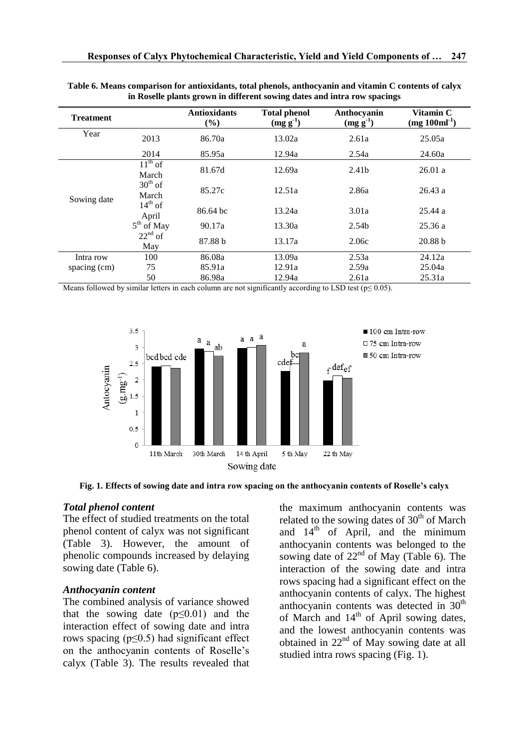| <b>Treatment</b> |                           | <b>Antioxidants</b><br>$(\%)$ | <b>Total phenol</b><br>$(mg g^{-1})$ | Anthocyanin<br>$(mg g-1)$ | Vitamin C<br>$(mg 100ml^{-1})$ |
|------------------|---------------------------|-------------------------------|--------------------------------------|---------------------------|--------------------------------|
| Year             | 2013                      | 86.70a                        | 13.02a                               | 2.61a                     | 25.05a                         |
|                  | 2014                      | 85.95a                        | 12.94a                               | 2.54a                     | 24.60a                         |
|                  | $11^{th}$ of<br>March     | 81.67d                        | 12.69a                               | 2.41b                     | 26.01a                         |
| Sowing date      | $30^{th}$ of<br>March     | 85.27c                        | 12.51a                               | 2.86a                     | 26.43a                         |
|                  | $14^{th}$ of<br>April     | 86.64 bc                      | 13.24a                               | 3.01a                     | 25.44a                         |
|                  | $5^{\text{th}}$<br>of May | 90.17a                        | 13.30a                               | 2.54b                     | 25.36a                         |
|                  | $22nd$ of<br>May          | 87.88 b                       | 13.17a                               | 2.06c                     | 20.88 b                        |
| Intra row        | 100                       | 86.08a                        | 13.09a                               | 2.53a                     | 24.12a                         |
| spacing (cm)     | 75                        | 85.91a                        | 12.91a                               | 2.59a                     | 25.04a                         |
|                  | 50                        | 86.98a                        | 12.94a                               | 2.61a                     | 25.31a                         |

| Table 6. Means comparison for antioxidants, total phenols, anthocyanin and vitamin C contents of calyx |  |
|--------------------------------------------------------------------------------------------------------|--|
| in Roselle plants grown in different sowing dates and intra row spacings                               |  |

Means followed by similar letters in each column are not significantly according to LSD test ( $p \le 0.05$ ).



**Fig. 1. Effects of sowing date and intra row spacing on the anthocyanin contents of Roselle's calyx**

#### *Total phenol content*

The effect of studied treatments on the total phenol content of calyx was not significant (Table 3). However, the amount of phenolic compounds increased by delaying sowing date (Table 6).

#### *Anthocyanin content*

The combined analysis of variance showed that the sowing date  $(p \le 0.01)$  and the interaction effect of sowing date and intra rows spacing ( $p \le 0.5$ ) had significant effect on the anthocyanin contents of Roselle's calyx (Table 3). The results revealed that

the maximum anthocyanin contents was related to the sowing dates of  $30<sup>th</sup>$  of March and  $14<sup>th</sup>$  of April, and the minimum anthocyanin contents was belonged to the sowing date of  $22<sup>nd</sup>$  of May (Table 6). The interaction of the sowing date and intra rows spacing had a significant effect on the anthocyanin contents of calyx. The highest anthocyanin contents was detected in  $30<sup>th</sup>$ of March and  $14<sup>th</sup>$  of April sowing dates, and the lowest anthocyanin contents was obtained in  $22<sup>nd</sup>$  of May sowing date at all studied intra rows spacing (Fig. 1).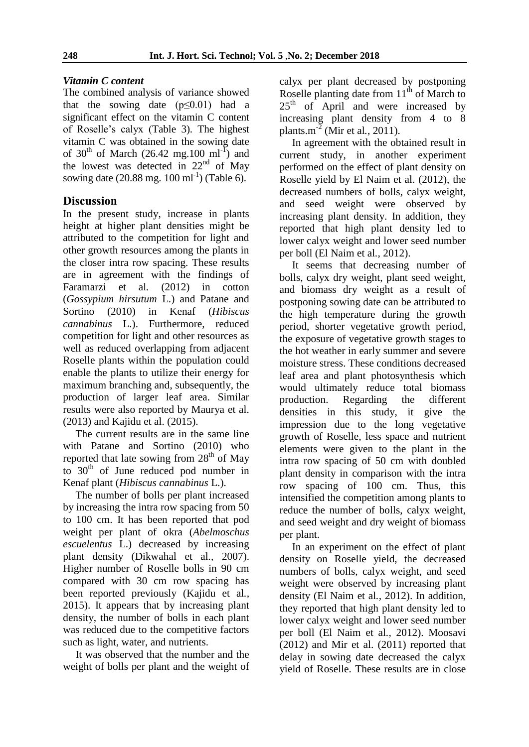# *Vitamin C content*

The combined analysis of variance showed that the sowing date  $(p<0.01)$  had a significant effect on the vitamin C content of Roselle's calyx (Table 3). The highest vitamin C was obtained in the sowing date of 30<sup>th</sup> of March (26.42 mg.100 ml<sup>-I</sup>) and the lowest was detected in  $22<sup>nd</sup>$  of May sowing date  $(20.88 \text{ mg. } 100 \text{ ml}^{-1})$  (Table 6).

# **Discussion**

In the present study, increase in plants height at higher plant densities might be attributed to the competition for light and other growth resources among the plants in the closer intra row spacing. These results are in agreement with the findings of Faramarzi et al*.* (2012) in cotton (*Gossypium hirsutum* L.) and Patane and Sortino (2010) in Kenaf (*Hibiscus cannabinus* L.). Furthermore, reduced competition for light and other resources as well as reduced overlapping from adjacent Roselle plants within the population could enable the plants to utilize their energy for maximum branching and, subsequently, the production of larger leaf area. Similar results were also reported by Maurya et al. (2013) and Kajidu et al. (2015).

The current results are in the same line with Patane and Sortino (2010) who reported that late sowing from  $28<sup>th</sup>$  of May to  $30<sup>th</sup>$  of June reduced pod number in Kenaf plant (*Hibiscus cannabinus* L.).

The number of bolls per plant increased by increasing the intra row spacing from 50 to 100 cm. It has been reported that pod weight per plant of okra (*Abelmoschus escuelentus* L.) decreased by increasing plant density (Dikwahal et al*.,* 2007). Higher number of Roselle bolls in 90 cm compared with 30 cm row spacing has been reported previously (Kajidu et al*.,* 2015). It appears that by increasing plant density, the number of bolls in each plant was reduced due to the competitive factors such as light, water, and nutrients.

It was observed that the number and the weight of bolls per plant and the weight of calyx per plant decreased by postponing Roselle planting date from  $11<sup>th</sup>$  of March to 25<sup>th</sup> of April and were increased by increasing plant density from 4 to 8 plants.m-2 (Mir et al*.,* 2011).

In agreement with the obtained result in current study, in another experiment performed on the effect of plant density on Roselle yield by El Naim et al. (2012), the decreased numbers of bolls, calyx weight, and seed weight were observed by increasing plant density. In addition, they reported that high plant density led to lower calyx weight and lower seed number per boll (El Naim et al*.,* 2012).

It seems that decreasing number of bolls, calyx dry weight, plant seed weight, and biomass dry weight as a result of postponing sowing date can be attributed to the high temperature during the growth period, shorter vegetative growth period, the exposure of vegetative growth stages to the hot weather in early summer and severe moisture stress. These conditions decreased leaf area and plant photosynthesis which would ultimately reduce total biomass production. Regarding the different densities in this study, it give the impression due to the long vegetative growth of Roselle, less space and nutrient elements were given to the plant in the intra row spacing of 50 cm with doubled plant density in comparison with the intra row spacing of 100 cm. Thus, this intensified the competition among plants to reduce the number of bolls, calyx weight, and seed weight and dry weight of biomass per plant.

In an experiment on the effect of plant density on Roselle yield, the decreased numbers of bolls, calyx weight, and seed weight were observed by increasing plant density (El Naim et al*.,* 2012). In addition, they reported that high plant density led to lower calyx weight and lower seed number per boll (El Naim et al*.,* 2012). Moosavi (2012) and Mir et al. (2011) reported that delay in sowing date decreased the calyx yield of Roselle. These results are in close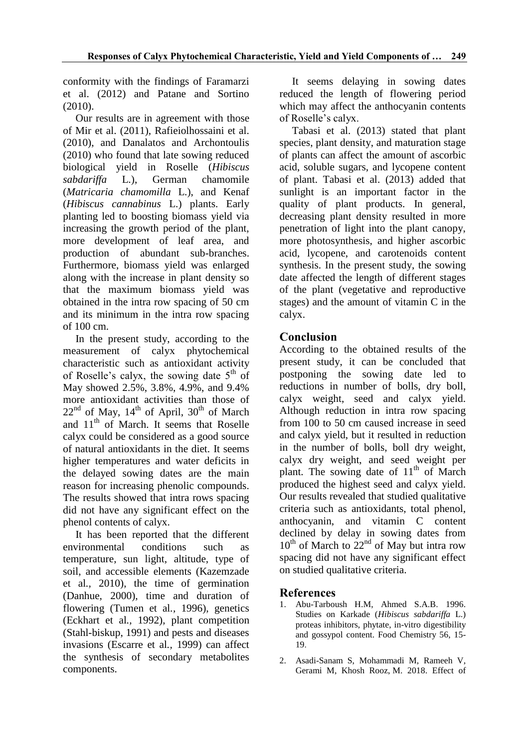conformity with the findings of Faramarzi et al. (2012) and Patane and Sortino (2010).

Our results are in agreement with those of Mir et al. (2011), Rafieiolhossaini et al. (2010), and Danalatos and Archontoulis (2010) who found that late sowing reduced biological yield in Roselle (*Hibiscus sabdariffa* L.), German chamomile (*Matricaria chamomilla* L.), and Kenaf (*Hibiscus cannabinus* L.) plants. Early planting led to boosting biomass yield via increasing the growth period of the plant, more development of leaf area, and production of abundant sub-branches. Furthermore, biomass yield was enlarged along with the increase in plant density so that the maximum biomass yield was obtained in the intra row spacing of 50 cm and its minimum in the intra row spacing of 100 cm.

In the present study, according to the measurement of calyx phytochemical characteristic such as antioxidant activity of Roselle's calyx, the sowing date  $5<sup>th</sup>$  of May showed 2.5%, 3.8%, 4.9%, and 9.4% more antioxidant activities than those of  $22<sup>nd</sup>$  of May,  $14<sup>th</sup>$  of April,  $30<sup>th</sup>$  of March and  $11<sup>th</sup>$  of March. It seems that Roselle calyx could be considered as a good source of natural antioxidants in the diet. It seems higher temperatures and water deficits in the delayed sowing dates are the main reason for increasing phenolic compounds. The results showed that intra rows spacing did not have any significant effect on the phenol contents of calyx.

It has been reported that the different environmental conditions such as temperature, sun light, altitude, type of soil, and accessible elements (Kazemzade et al*.,* 2010), the time of germination (Danhue, 2000), time and duration of flowering (Tumen et al*.,* 1996), genetics (Eckhart et al*.,* 1992), plant competition (Stahl-biskup, 1991) and pests and diseases invasions (Escarre et al*.,* 1999) can affect the synthesis of secondary metabolites components.

It seems delaying in sowing dates reduced the length of flowering period which may affect the anthocyanin contents of Roselle's calyx.

Tabasi et al. (2013) stated that plant species, plant density, and maturation stage of plants can affect the amount of ascorbic acid, soluble sugars, and lycopene content of plant. Tabasi et al. (2013) added that sunlight is an important factor in the quality of plant products. In general, decreasing plant density resulted in more penetration of light into the plant canopy, more photosynthesis, and higher ascorbic acid, lycopene, and carotenoids content synthesis. In the present study, the sowing date affected the length of different stages of the plant (vegetative and reproductive stages) and the amount of vitamin C in the calyx.

# **Conclusion**

According to the obtained results of the present study, it can be concluded that postponing the sowing date led to reductions in number of bolls, dry boll, calyx weight, seed and calyx yield. Although reduction in intra row spacing from 100 to 50 cm caused increase in seed and calyx yield, but it resulted in reduction in the number of bolls, boll dry weight, calyx dry weight, and seed weight per plant. The sowing date of  $11<sup>th</sup>$  of March produced the highest seed and calyx yield. Our results revealed that studied qualitative criteria such as antioxidants, total phenol, anthocyanin, and vitamin C content declined by delay in sowing dates from  $10^{th}$  of March to  $22^{nd}$  of May but intra row spacing did not have any significant effect on studied qualitative criteria.

# **References**

- 1. Abu-Tarboush H.M, Ahmed S.A.B. 1996. Studies on Karkade (*Hibiscus sabdariffa* L.) proteas inhibitors, phytate, in-vitro digestibility and gossypol content. Food Chemistry 56, 15- 19.
- 2. Asadi-Sanam S, Mohammadi M, Rameeh V, Gerami M, Khosh Rooz, M. 2018. Effect of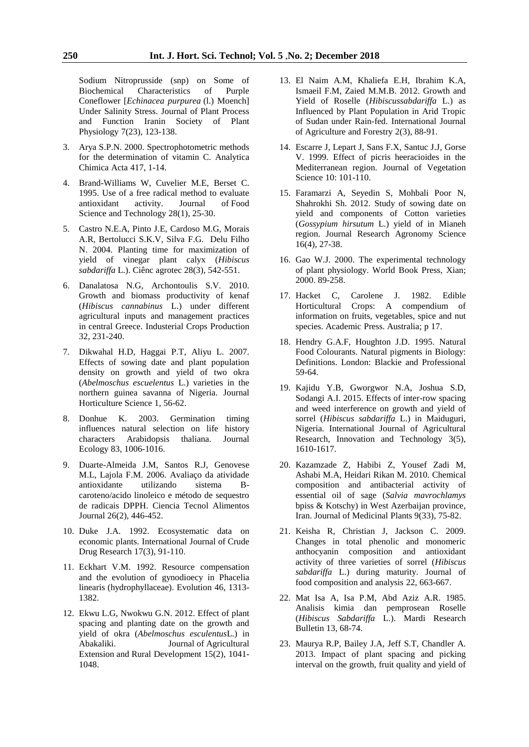Sodium Nitroprusside (snp) on Some of Biochemical Characteristics of Purple Coneflower [*Echinacea purpurea* (l.) Moench] Under Salinity Stress. Journal of Plant Process and Function Iranin Society of Plant Physiology 7(23), 123-138.

- 3. Arya S.P.N. 2000. Spectrophotometric methods for the determination of vitamin C. Analytica Chimica Acta 417, 1-14.
- 4. Brand-Williams W, Cuvelier M.E, Berset C. 1995. Use of a free radical method to evaluate antioxidant activity. Journal of Food Science and Technology 28(1), 25-30.
- 5. Castro N.E.A, Pinto J.E, Cardoso M.G, Morais A.R, Bertolucci S.K.V, Silva F.G. Delu Filho N. 2004. Planting time for maximization of yield of vinegar plant calyx (*Hibiscus sabdariffa* L.). Ciênc agrotec 28(3), 542-551.
- 6. Danalatosa N.G, Archontoulis S.V. 2010. Growth and biomass productivity of kenaf (*Hibiscus cannabinus* L.) under different agricultural inputs and management practices in central Greece. Industerial Crops Production 32, 231-240.
- 7. Dikwahal H.D, Haggai P.T, Aliyu L. 2007. Effects of sowing date and plant population density on growth and yield of two okra (*Abelmoschus escuelentus* L.) varieties in the northern guinea savanna of Nigeria. Journal Horticulture Science 1, 56-62.
- 8. Donhue K. 2003. Germination timing influences natural selection on life history characters Arabidopsis thaliana. Journal Ecology 83, 1006-1016.
- 9. Duarte-Almeida J.M, Santos R.J, Genovese M.L, Lajola F.M. 2006. Avaliaço da atividade antioxidante utilizando sistema Bcaroteno/acido linoleico e método de sequestro de radicais DPPH. Ciencia Tecnol Alimentos Journal 26(2), 446-452.
- 10. Duke J.A. 1992. Ecosystematic data on economic plants. International Journal of Crude Drug Research 17(3), 91-110.
- 11. Eckhart V.M. 1992. Resource compensation and the evolution of gynodioecy in Phacelia linearis (hydrophyllaceae). Evolution 46, 1313- 1382.
- 12. Ekwu L.G, Nwokwu G.N. 2012. Effect of plant spacing and planting date on the growth and yield of okra (*Abelmoschus esculentus*L.) in Abakaliki. Journal of Agricultural Extension and Rural Development 15(2), 1041- 1048.
- 13. El Naim A.M, Khaliefa E.H, Ibrahim K.A, Ismaeil F.M, Zaied M.M.B. 2012. Growth and Yield of Roselle (*Hibiscussabdariffa* L.) as Influenced by Plant Population in Arid Tropic of Sudan under Rain-fed. International Journal of Agriculture and Forestry 2(3), 88-91.
- 14. Escarre J, Lepart J, Sans F.X, Santuc J.J, Gorse V. 1999. Effect of picris heeracioides in the Mediterranean region. Journal of Vegetation Science 10: 101-110.
- 15. Faramarzi A, Seyedin S, Mohbali Poor N, Shahrokhi Sh. 2012. Study of sowing date on yield and components of Cotton varieties (*Gossypium hirsutum* L.) yield of in Mianeh region. Journal Research Agronomy Science 16(4), 27-38.
- 16. Gao W.J. 2000. The experimental technology of plant physiology. World Book Press, Xian; 2000. 89-258.
- 17. Hacket C, Carolene J. 1982. Edible Horticultural Crops: A compendium of information on fruits, vegetables, spice and nut species. Academic Press. Australia; p 17.
- 18. Hendry G.A.F, Houghton J.D. 1995. Natural Food Colourants. Natural pigments in Biology: Definitions. London: Blackie and Professional 59-64.
- 19. Kajidu Y.B, Gworgwor N.A, Joshua S.D, Sodangi A.I. 2015. Effects of inter-row spacing and weed interference on growth and yield of sorrel (*Hibiscus sabdariffa* L.) in Maiduguri, Nigeria. International Journal of Agricultural Research, Innovation and Technology 3(5), 1610-1617.
- 20. Kazamzade Z, Habibi Z, Yousef Zadi M, Ashabi M.A, Heidari Rikan M. 2010. Chemical composition and antibacterial activity of essential oil of sage (*Salvia mavrochlamys* bpiss & Kotschy) in West Azerbaijan province. Iran. Journal of Medicinal Plants 9(33), 75-82.
- 21. Keisha R, Christian J, Jackson C. 2009. Changes in total phenolic and monomeric anthocyanin composition and antioxidant activity of three varieties of sorrel (*Hibiscus sabdariffa* L.) during maturity. Journal of food composition and analysis 22, 663-667.
- 22. Mat Isa A, Isa P.M, Abd Aziz A.R. 1985. Analisis kimia dan pemprosean Roselle (*Hibiscus Sabdariffa* L.). Mardi Research Bulletin 13, 68-74.
- 23. Maurya R.P, Bailey J.A, Jeff S.T, Chandler A. 2013. Impact of plant spacing and picking interval on the growth, fruit quality and yield of